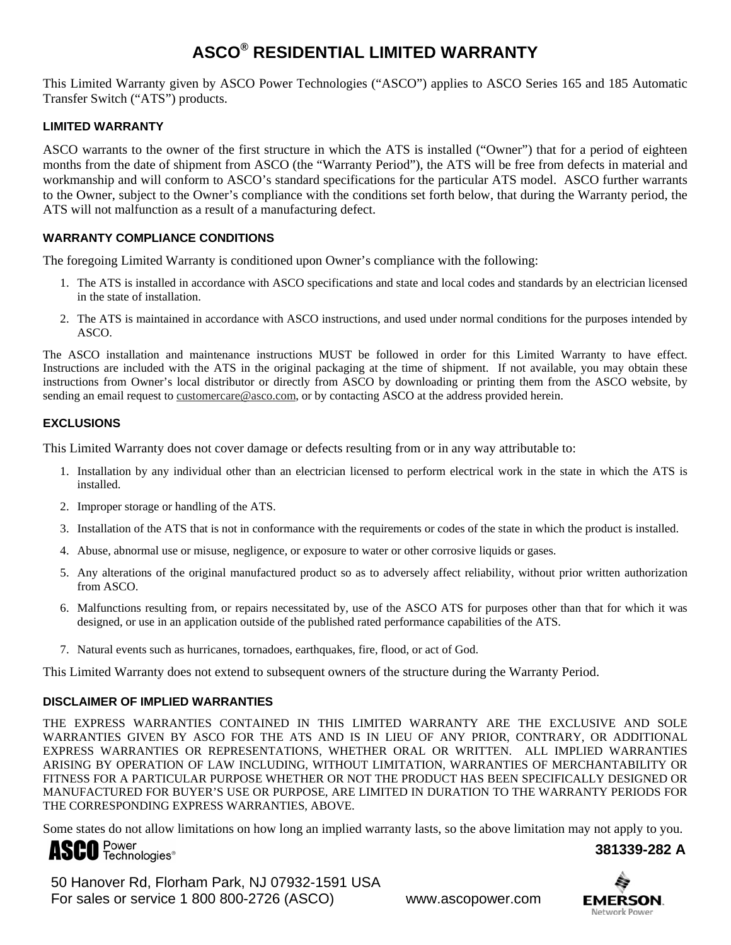# **ASCO® RESIDENTIAL LIMITED WARRANTY**

This Limited Warranty given by ASCO Power Technologies ("ASCO") applies to ASCO Series 165 and 185 Automatic Transfer Switch ("ATS") products.

### **LIMITED WARRANTY**

ASCO warrants to the owner of the first structure in which the ATS is installed ("Owner") that for a period of eighteen months from the date of shipment from ASCO (the "Warranty Period"), the ATS will be free from defects in material and workmanship and will conform to ASCO's standard specifications for the particular ATS model. ASCO further warrants to the Owner, subject to the Owner's compliance with the conditions set forth below, that during the Warranty period, the ATS will not malfunction as a result of a manufacturing defect.

# **WARRANTY COMPLIANCE CONDITIONS**

The foregoing Limited Warranty is conditioned upon Owner's compliance with the following:

- 1. The ATS is installed in accordance with ASCO specifications and state and local codes and standards by an electrician licensed in the state of installation.
- 2. The ATS is maintained in accordance with ASCO instructions, and used under normal conditions for the purposes intended by ASCO.

The ASCO installation and maintenance instructions MUST be followed in order for this Limited Warranty to have effect. Instructions are included with the ATS in the original packaging at the time of shipment. If not available, you may obtain these instructions from Owner's local distributor or directly from ASCO by downloading or printing them from the ASCO website, by sending an email request to customercare@asco.com, or by contacting ASCO at the address provided herein.

#### **EXCLUSIONS**

This Limited Warranty does not cover damage or defects resulting from or in any way attributable to:

- 1. Installation by any individual other than an electrician licensed to perform electrical work in the state in which the ATS is installed.
- 2. Improper storage or handling of the ATS.
- 3. Installation of the ATS that is not in conformance with the requirements or codes of the state in which the product is installed.
- 4. Abuse, abnormal use or misuse, negligence, or exposure to water or other corrosive liquids or gases.
- 5. Any alterations of the original manufactured product so as to adversely affect reliability, without prior written authorization from ASCO.
- 6. Malfunctions resulting from, or repairs necessitated by, use of the ASCO ATS for purposes other than that for which it was designed, or use in an application outside of the published rated performance capabilities of the ATS.
- 7. Natural events such as hurricanes, tornadoes, earthquakes, fire, flood, or act of God.

This Limited Warranty does not extend to subsequent owners of the structure during the Warranty Period.

#### **DISCLAIMER OF IMPLIED WARRANTIES**

THE EXPRESS WARRANTIES CONTAINED IN THIS LIMITED WARRANTY ARE THE EXCLUSIVE AND SOLE WARRANTIES GIVEN BY ASCO FOR THE ATS AND IS IN LIEU OF ANY PRIOR, CONTRARY, OR ADDITIONAL EXPRESS WARRANTIES OR REPRESENTATIONS, WHETHER ORAL OR WRITTEN. ALL IMPLIED WARRANTIES ARISING BY OPERATION OF LAW INCLUDING, WITHOUT LIMITATION, WARRANTIES OF MERCHANTABILITY OR FITNESS FOR A PARTICULAR PURPOSE WHETHER OR NOT THE PRODUCT HAS BEEN SPECIFICALLY DESIGNED OR MANUFACTURED FOR BUYER'S USE OR PURPOSE, ARE LIMITED IN DURATION TO THE WARRANTY PERIODS FOR THE CORRESPONDING EXPRESS WARRANTIES, ABOVE.

Some states do not allow limitations on how long an implied warranty lasts, so the above limitation may not apply to you.

# **ASCO** Power 381339-282 A

 50 Hanover Rd, Florham Park, NJ 07932-1591 USA For sales or service 1 800 800-2726 (ASCO) www.ascopower.com